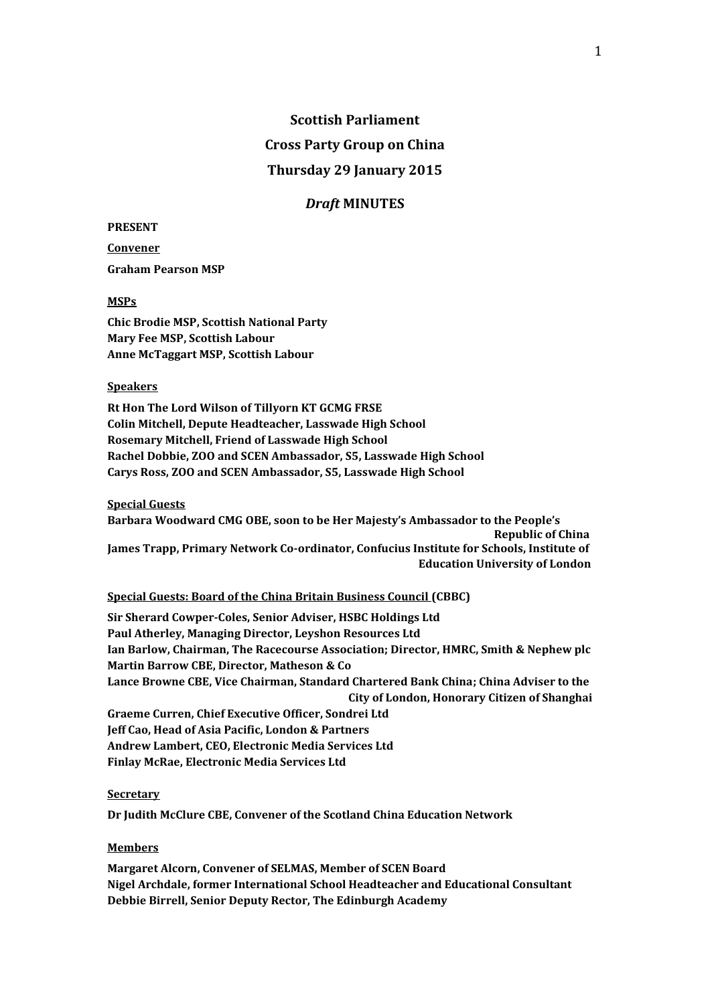# **Scottish Parliament Cross Party Group on China Thursday 29 January 2015**

### *Draft* **MINUTES**

#### **PRESENT**

**Convener Graham Pearson MSP**

#### **MSPs**

**Chic Brodie MSP, Scottish National Party Mary Fee MSP, Scottish Labour Anne McTaggart MSP, Scottish Labour**

#### **Speakers**

**Rt Hon The Lord Wilson of Tillyorn KT GCMG FRSE Colin Mitchell, Depute Headteacher, Lasswade High School Rosemary Mitchell, Friend of Lasswade High School Rachel Dobbie, ZOO and SCEN Ambassador, S5, Lasswade High School Carys Ross, ZOO and SCEN Ambassador, S5, Lasswade High School**

**Special Guests**

**Barbara Woodward CMG OBE, soon to be Her Majesty's Ambassador to the People's Republic of China James Trapp, Primary Network Co-ordinator, Confucius Institute for Schools, Institute of Education University of London**

**Special Guests: Board of the China Britain Business Council (CBBC)**

**Sir Sherard Cowper-Coles, Senior Adviser, HSBC Holdings Ltd Paul Atherley, Managing Director, Leyshon Resources Ltd Ian Barlow, Chairman, The Racecourse Association; Director, HMRC, Smith & Nephew plc Martin Barrow CBE, Director, Matheson & Co Lance Browne CBE, Vice Chairman, Standard Chartered Bank China; China Adviser to the City of London, Honorary Citizen of Shanghai Graeme Curren, Chief Executive Officer, Sondrei Ltd Jeff Cao, Head of Asia Pacific, London & Partners Andrew Lambert, CEO, Electronic Media Services Ltd Finlay McRae, Electronic Media Services Ltd**

#### **Secretary**

**Dr Judith McClure CBE, Convener of the Scotland China Education Network**

#### **Members**

**Margaret Alcorn, Convener of SELMAS, Member of SCEN Board Nigel Archdale, former International School Headteacher and Educational Consultant Debbie Birrell, Senior Deputy Rector, The Edinburgh Academy**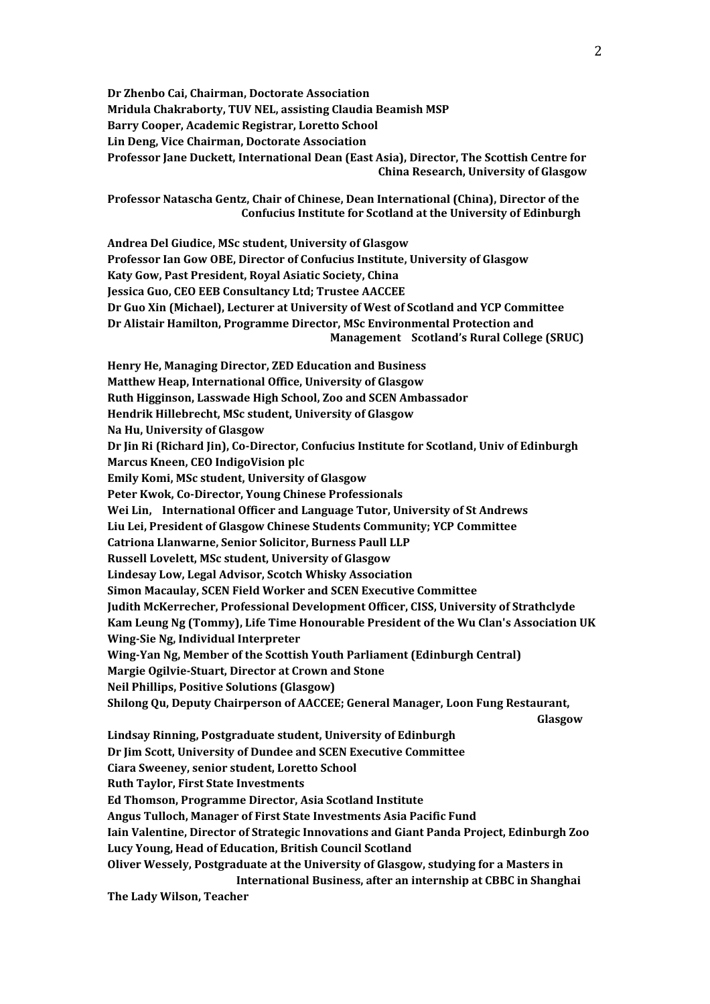**Dr Zhenbo Cai, Chairman, Doctorate Association Mridula Chakraborty, TUV NEL, assisting Claudia Beamish MSP Barry Cooper, Academic Registrar, Loretto School Lin Deng, Vice Chairman, Doctorate Association Professor Jane Duckett, International Dean (East Asia), Director, The Scottish Centre for China Research, University of Glasgow**

**Professor Natascha Gentz, Chair of Chinese, Dean International (China), Director of the Confucius Institute for Scotland at the University of Edinburgh**

**Andrea Del Giudice, MSc student, University of Glasgow Professor Ian Gow OBE, Director of Confucius Institute, University of Glasgow Katy Gow, Past President, Royal Asiatic Society, China Jessica Guo, CEO EEB Consultancy Ltd; Trustee AACCEE Dr Guo Xin (Michael), Lecturer at University of West of Scotland and YCP Committee Dr Alistair Hamilton, Programme Director, MSc Environmental Protection and Management Scotland's Rural College (SRUC) Henry He, Managing Director, ZED Education and Business Matthew Heap, International Office, University of Glasgow Ruth Higginson, Lasswade High School, Zoo and SCEN Ambassador Hendrik Hillebrecht, MSc student, University of Glasgow Na Hu, University of Glasgow Dr Jin Ri (Richard Jin), Co-Director, Confucius Institute for Scotland, Univ of Edinburgh Marcus Kneen, CEO IndigoVision plc Emily Komi, MSc student, University of Glasgow Peter Kwok, Co-Director, Young Chinese Professionals Wei Lin, International Officer and Language Tutor, University of St Andrews Liu Lei, President of Glasgow Chinese Students Community; YCP Committee Catriona Llanwarne, Senior Solicitor, Burness Paull LLP Russell Lovelett, MSc student, University of Glasgow Lindesay Low, Legal Advisor, Scotch Whisky Association Simon Macaulay, SCEN Field Worker and SCEN Executive Committee Judith McKerrecher, Professional Development Officer, CISS, University of Strathclyde Kam Leung Ng (Tommy), Life Time Honourable President of the Wu Clan's Association UK Wing-Sie Ng, Individual Interpreter Wing-Yan Ng, Member of the Scottish Youth Parliament (Edinburgh Central) Margie Ogilvie-Stuart, Director at Crown and Stone Neil Phillips, Positive Solutions (Glasgow) Shilong Qu, Deputy Chairperson of AACCEE; General Manager, Loon Fung Restaurant, Glasgow Lindsay Rinning, Postgraduate student, University of Edinburgh Dr Jim Scott, University of Dundee and SCEN Executive Committee Ciara Sweeney, senior student, Loretto School Ruth Taylor, First State Investments Ed Thomson, Programme Director, Asia Scotland Institute Angus Tulloch, Manager of First State Investments Asia Pacific Fund**

**Iain Valentine, Director of Strategic Innovations and Giant Panda Project, Edinburgh Zoo Lucy Young, Head of Education, British Council Scotland**

**Oliver Wessely, Postgraduate at the University of Glasgow, studying for a Masters in International Business, after an internship at CBBC in Shanghai**

**The Lady Wilson, Teacher**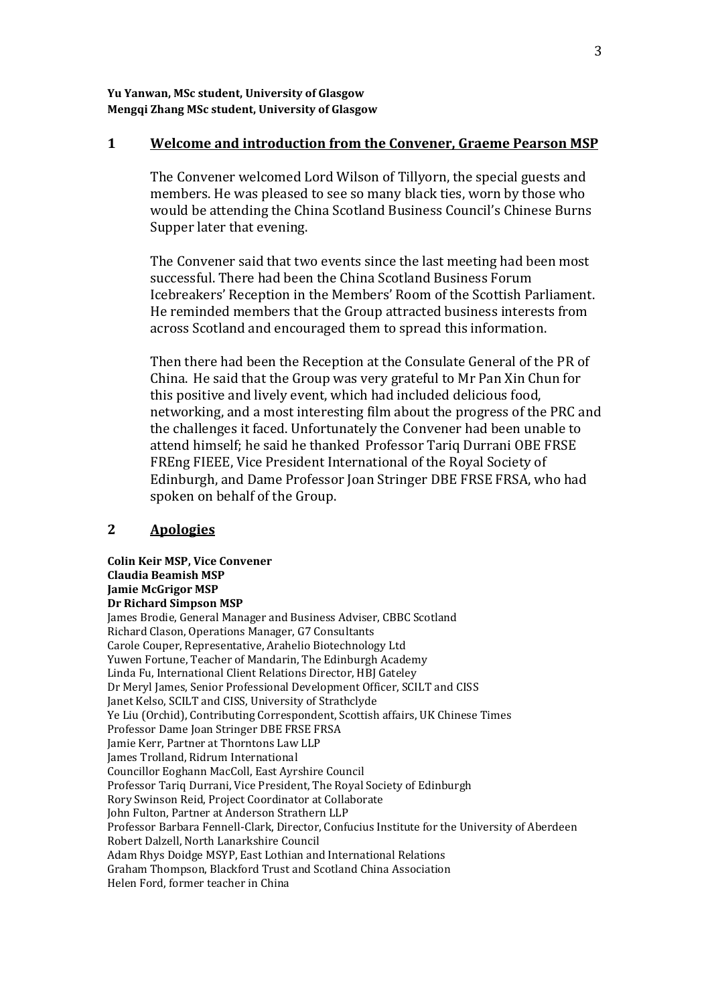**Yu Yanwan, MSc student, University of Glasgow Mengqi Zhang MSc student, University of Glasgow**

#### **1 Welcome and introduction from the Convener, Graeme Pearson MSP**

The Convener welcomed Lord Wilson of Tillyorn, the special guests and members. He was pleased to see so many black ties, worn by those who would be attending the China Scotland Business Council's Chinese Burns Supper later that evening.

The Convener said that two events since the last meeting had been most successful. There had been the China Scotland Business Forum Icebreakers' Reception in the Members' Room of the Scottish Parliament. He reminded members that the Group attracted business interests from across Scotland and encouraged them to spread this information.

Then there had been the Reception at the Consulate General of the PR of China. He said that the Group was very grateful to Mr Pan Xin Chun for this positive and lively event, which had included delicious food, networking, and a most interesting film about the progress of the PRC and the challenges it faced. Unfortunately the Convener had been unable to attend himself; he said he thanked Professor Tariq Durrani OBE FRSE FREng FIEEE, Vice President International of the Royal Society of Edinburgh, and Dame Professor Joan Stringer DBE FRSE FRSA, who had spoken on behalf of the Group.

# **2 Apologies**

**Colin Keir MSP, Vice Convener Claudia Beamish MSP Jamie McGrigor MSP Dr Richard Simpson MSP** James Brodie, General Manager and Business Adviser, CBBC Scotland Richard Clason, Operations Manager, G7 Consultants Carole Couper, Representative, Arahelio Biotechnology Ltd Yuwen Fortune, Teacher of Mandarin, The Edinburgh Academy Linda Fu, International Client Relations Director, HBJ Gateley Dr Meryl James, Senior Professional Development Officer, SCILT and CISS Janet Kelso, SCILT and CISS, University of Strathclyde Ye Liu (Orchid), Contributing Correspondent, Scottish affairs, UK Chinese Times Professor Dame Joan Stringer DBE FRSE FRSA Jamie Kerr, Partner at Thorntons Law LLP James Trolland, Ridrum International Councillor Eoghann MacColl, East Ayrshire Council Professor Tariq Durrani, Vice President, The Royal Society of Edinburgh Rory Swinson Reid, Project Coordinator at Collaborate John Fulton, Partner at Anderson Strathern LLP Professor Barbara Fennell-Clark, Director, Confucius Institute for the University of Aberdeen Robert Dalzell, North Lanarkshire Council Adam Rhys Doidge MSYP, East Lothian and International Relations Graham Thompson, Blackford Trust and Scotland China Association Helen Ford, former teacher in China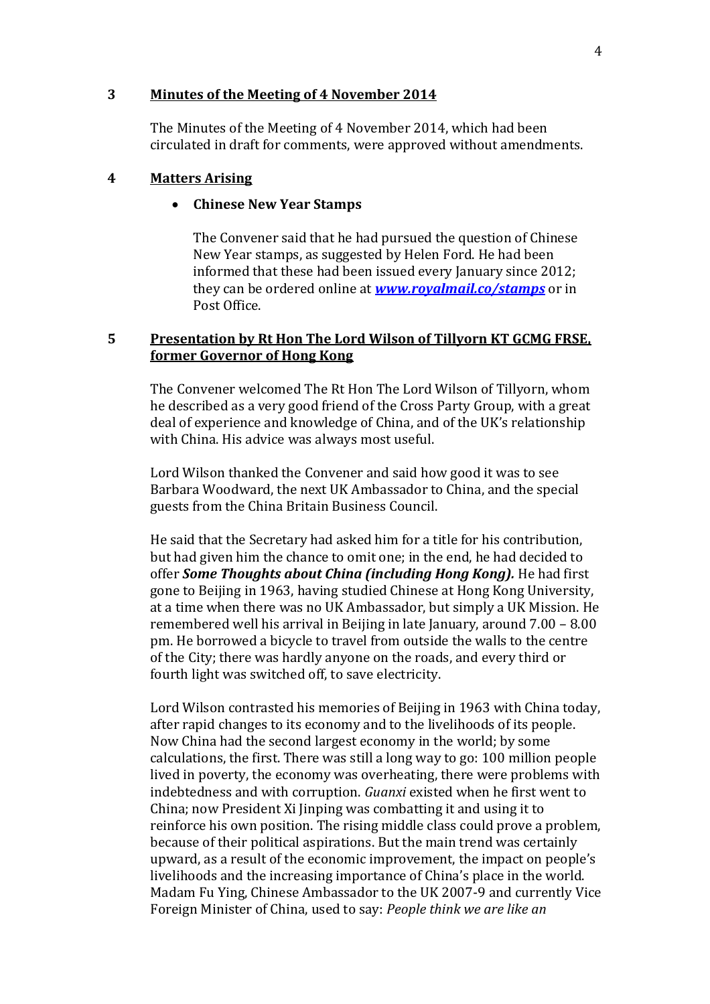## **3 Minutes of the Meeting of 4 November 2014**

The Minutes of the Meeting of 4 November 2014, which had been circulated in draft for comments, were approved without amendments.

## **4 Matters Arising**

#### **Chinese New Year Stamps**

The Convener said that he had pursued the question of Chinese New Year stamps, as suggested by Helen Ford. He had been informed that these had been issued every January since 2012; they can be ordered online at *[www.royalmail.co/stamps](http://www.royalmail.co/stamps)* or in Post Office.

# **5 Presentation by Rt Hon The Lord Wilson of Tillyorn KT GCMG FRSE, former Governor of Hong Kong**

The Convener welcomed The Rt Hon The Lord Wilson of Tillyorn, whom he described as a very good friend of the Cross Party Group, with a great deal of experience and knowledge of China, and of the UK's relationship with China. His advice was always most useful.

Lord Wilson thanked the Convener and said how good it was to see Barbara Woodward, the next UK Ambassador to China, and the special guests from the China Britain Business Council.

He said that the Secretary had asked him for a title for his contribution, but had given him the chance to omit one; in the end, he had decided to offer *Some Thoughts about China (including Hong Kong).* He had first gone to Beijing in 1963, having studied Chinese at Hong Kong University, at a time when there was no UK Ambassador, but simply a UK Mission. He remembered well his arrival in Beijing in late January, around 7.00 – 8.00 pm. He borrowed a bicycle to travel from outside the walls to the centre of the City; there was hardly anyone on the roads, and every third or fourth light was switched off, to save electricity.

Lord Wilson contrasted his memories of Beijing in 1963 with China today, after rapid changes to its economy and to the livelihoods of its people. Now China had the second largest economy in the world; by some calculations, the first. There was still a long way to go: 100 million people lived in poverty, the economy was overheating, there were problems with indebtedness and with corruption. *Guanxi* existed when he first went to China; now President Xi Jinping was combatting it and using it to reinforce his own position. The rising middle class could prove a problem, because of their political aspirations. But the main trend was certainly upward, as a result of the economic improvement, the impact on people's livelihoods and the increasing importance of China's place in the world. Madam Fu Ying, Chinese Ambassador to the UK 2007-9 and currently Vice Foreign Minister of China, used to say: *People think we are like an*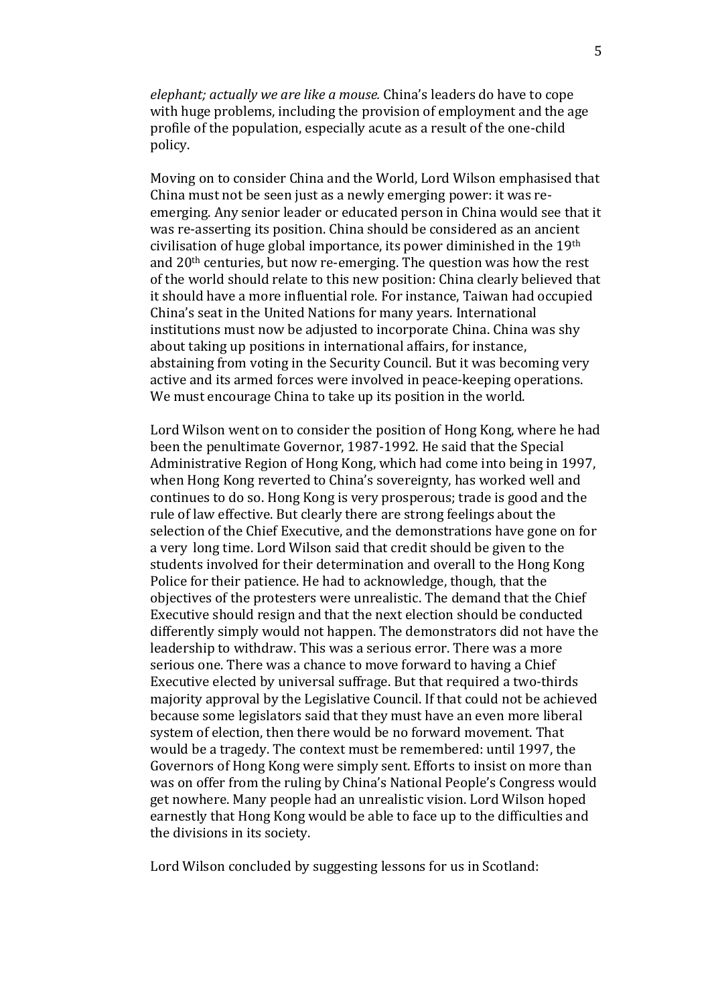*elephant; actually we are like a mouse.* China's leaders do have to cope with huge problems, including the provision of employment and the age profile of the population, especially acute as a result of the one-child policy.

Moving on to consider China and the World, Lord Wilson emphasised that China must not be seen just as a newly emerging power: it was reemerging. Any senior leader or educated person in China would see that it was re-asserting its position. China should be considered as an ancient civilisation of huge global importance, its power diminished in the 19th and 20th centuries, but now re-emerging. The question was how the rest of the world should relate to this new position: China clearly believed that it should have a more influential role. For instance, Taiwan had occupied China's seat in the United Nations for many years. International institutions must now be adjusted to incorporate China. China was shy about taking up positions in international affairs, for instance, abstaining from voting in the Security Council. But it was becoming very active and its armed forces were involved in peace-keeping operations. We must encourage China to take up its position in the world.

Lord Wilson went on to consider the position of Hong Kong, where he had been the penultimate Governor, 1987-1992. He said that the Special Administrative Region of Hong Kong, which had come into being in 1997, when Hong Kong reverted to China's sovereignty, has worked well and continues to do so. Hong Kong is very prosperous; trade is good and the rule of law effective. But clearly there are strong feelings about the selection of the Chief Executive, and the demonstrations have gone on for a very long time. Lord Wilson said that credit should be given to the students involved for their determination and overall to the Hong Kong Police for their patience. He had to acknowledge, though, that the objectives of the protesters were unrealistic. The demand that the Chief Executive should resign and that the next election should be conducted differently simply would not happen. The demonstrators did not have the leadership to withdraw. This was a serious error. There was a more serious one. There was a chance to move forward to having a Chief Executive elected by universal suffrage. But that required a two-thirds majority approval by the Legislative Council. If that could not be achieved because some legislators said that they must have an even more liberal system of election, then there would be no forward movement. That would be a tragedy. The context must be remembered: until 1997, the Governors of Hong Kong were simply sent. Efforts to insist on more than was on offer from the ruling by China's National People's Congress would get nowhere. Many people had an unrealistic vision. Lord Wilson hoped earnestly that Hong Kong would be able to face up to the difficulties and the divisions in its society.

Lord Wilson concluded by suggesting lessons for us in Scotland: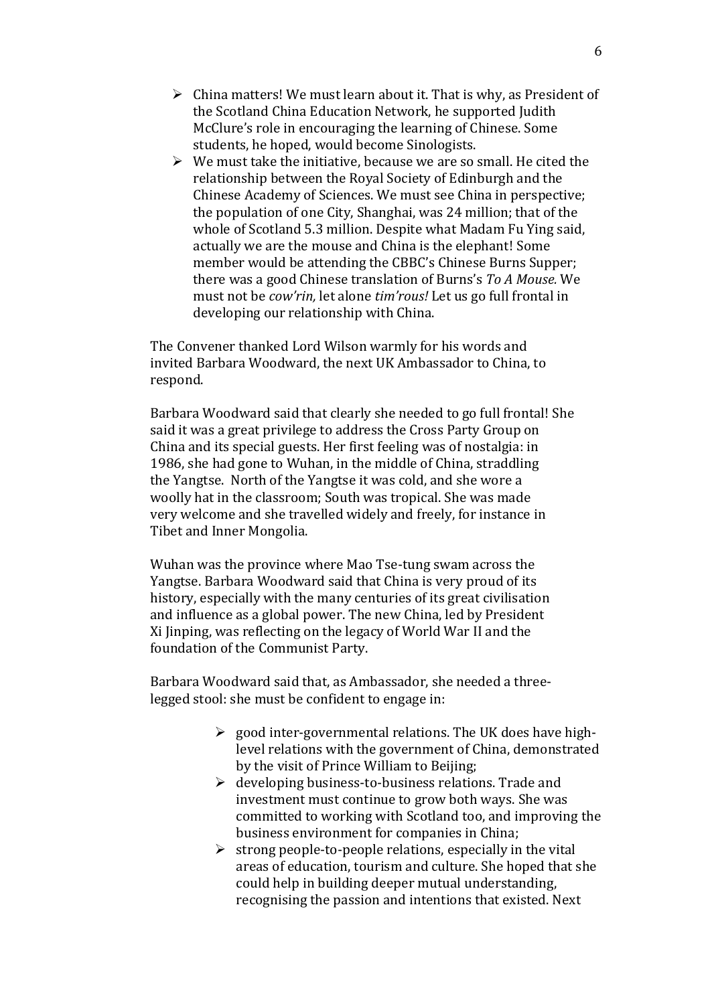- $\triangleright$  China matters! We must learn about it. That is why, as President of the Scotland China Education Network, he supported Judith McClure's role in encouraging the learning of Chinese. Some students, he hoped, would become Sinologists.
- $\triangleright$  We must take the initiative, because we are so small. He cited the relationship between the Royal Society of Edinburgh and the Chinese Academy of Sciences. We must see China in perspective; the population of one City, Shanghai, was 24 million; that of the whole of Scotland 5.3 million. Despite what Madam Fu Ying said, actually we are the mouse and China is the elephant! Some member would be attending the CBBC's Chinese Burns Supper; there was a good Chinese translation of Burns's *To A Mouse.* We must not be *cow'rin,* let alone *tim'rous!* Let us go full frontal in developing our relationship with China.

The Convener thanked Lord Wilson warmly for his words and invited Barbara Woodward, the next UK Ambassador to China, to respond.

Barbara Woodward said that clearly she needed to go full frontal! She said it was a great privilege to address the Cross Party Group on China and its special guests. Her first feeling was of nostalgia: in 1986, she had gone to Wuhan, in the middle of China, straddling the Yangtse. North of the Yangtse it was cold, and she wore a woolly hat in the classroom; South was tropical. She was made very welcome and she travelled widely and freely, for instance in Tibet and Inner Mongolia.

Wuhan was the province where Mao Tse-tung swam across the Yangtse. Barbara Woodward said that China is very proud of its history, especially with the many centuries of its great civilisation and influence as a global power. The new China, led by President Xi Jinping, was reflecting on the legacy of World War II and the foundation of the Communist Party.

Barbara Woodward said that, as Ambassador, she needed a threelegged stool: she must be confident to engage in:

- $\geq$  good inter-governmental relations. The UK does have highlevel relations with the government of China, demonstrated by the visit of Prince William to Beijing;
- $\triangleright$  developing business-to-business relations. Trade and investment must continue to grow both ways. She was committed to working with Scotland too, and improving the business environment for companies in China;
- $\triangleright$  strong people-to-people relations, especially in the vital areas of education, tourism and culture. She hoped that she could help in building deeper mutual understanding, recognising the passion and intentions that existed. Next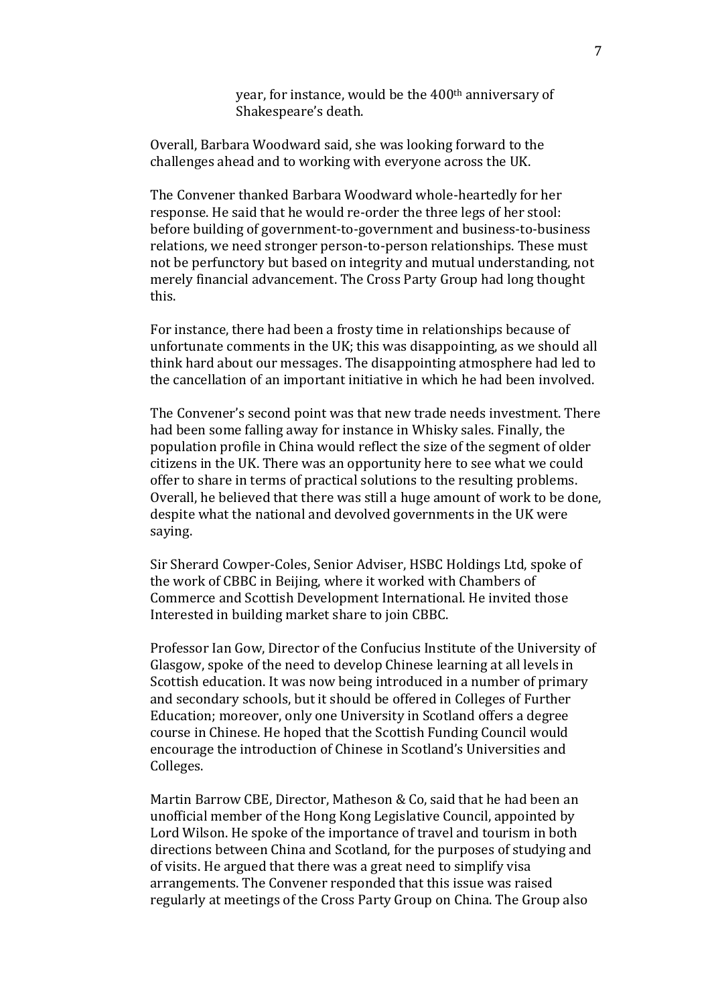year, for instance, would be the 400<sup>th</sup> anniversary of Shakespeare's death.

Overall, Barbara Woodward said, she was looking forward to the challenges ahead and to working with everyone across the UK.

The Convener thanked Barbara Woodward whole-heartedly for her response. He said that he would re-order the three legs of her stool: before building of government-to-government and business-to-business relations, we need stronger person-to-person relationships. These must not be perfunctory but based on integrity and mutual understanding, not merely financial advancement. The Cross Party Group had long thought this.

For instance, there had been a frosty time in relationships because of unfortunate comments in the UK; this was disappointing, as we should all think hard about our messages. The disappointing atmosphere had led to the cancellation of an important initiative in which he had been involved.

The Convener's second point was that new trade needs investment. There had been some falling away for instance in Whisky sales. Finally, the population profile in China would reflect the size of the segment of older citizens in the UK. There was an opportunity here to see what we could offer to share in terms of practical solutions to the resulting problems. Overall, he believed that there was still a huge amount of work to be done, despite what the national and devolved governments in the UK were saying.

Sir Sherard Cowper-Coles, Senior Adviser, HSBC Holdings Ltd, spoke of the work of CBBC in Beijing, where it worked with Chambers of Commerce and Scottish Development International. He invited those Interested in building market share to join CBBC.

Professor Ian Gow, Director of the Confucius Institute of the University of Glasgow, spoke of the need to develop Chinese learning at all levels in Scottish education. It was now being introduced in a number of primary and secondary schools, but it should be offered in Colleges of Further Education; moreover, only one University in Scotland offers a degree course in Chinese. He hoped that the Scottish Funding Council would encourage the introduction of Chinese in Scotland's Universities and Colleges.

Martin Barrow CBE, Director, Matheson & Co, said that he had been an unofficial member of the Hong Kong Legislative Council, appointed by Lord Wilson. He spoke of the importance of travel and tourism in both directions between China and Scotland, for the purposes of studying and of visits. He argued that there was a great need to simplify visa arrangements. The Convener responded that this issue was raised regularly at meetings of the Cross Party Group on China. The Group also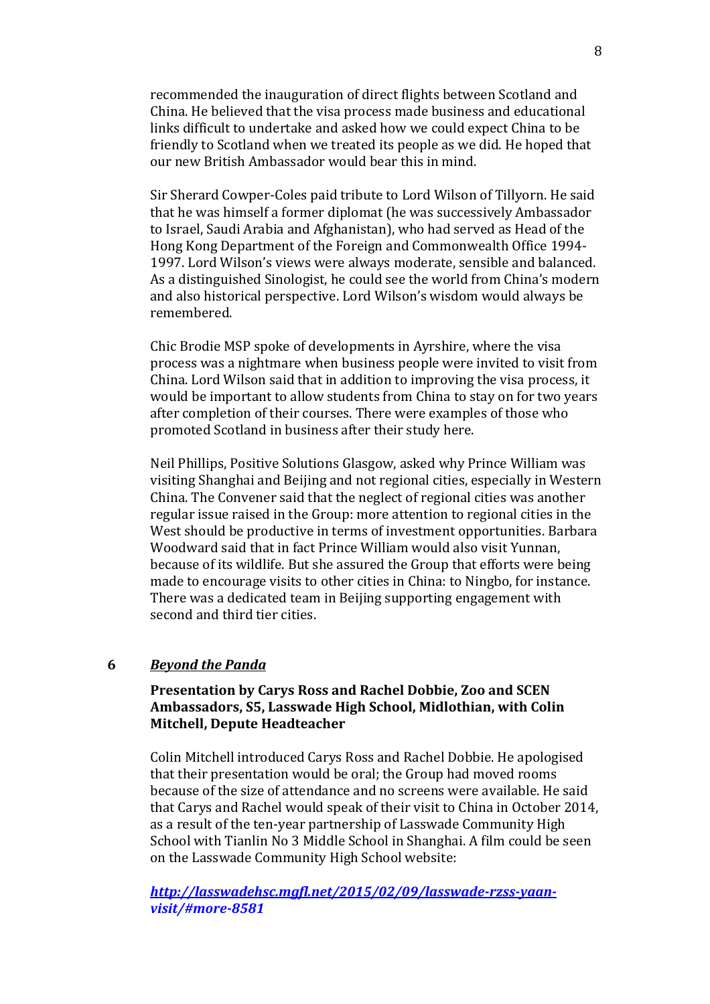recommended the inauguration of direct flights between Scotland and China. He believed that the visa process made business and educational links difficult to undertake and asked how we could expect China to be friendly to Scotland when we treated its people as we did. He hoped that our new British Ambassador would bear this in mind.

Sir Sherard Cowper-Coles paid tribute to Lord Wilson of Tillyorn. He said that he was himself a former diplomat (he was successively Ambassador to Israel, Saudi Arabia and Afghanistan), who had served as Head of the Hong Kong Department of the Foreign and Commonwealth Office 1994- 1997. Lord Wilson's views were always moderate, sensible and balanced. As a distinguished Sinologist, he could see the world from China's modern and also historical perspective. Lord Wilson's wisdom would always be remembered.

Chic Brodie MSP spoke of developments in Ayrshire, where the visa process was a nightmare when business people were invited to visit from China. Lord Wilson said that in addition to improving the visa process, it would be important to allow students from China to stay on for two years after completion of their courses. There were examples of those who promoted Scotland in business after their study here.

Neil Phillips, Positive Solutions Glasgow, asked why Prince William was visiting Shanghai and Beijing and not regional cities, especially in Western China. The Convener said that the neglect of regional cities was another regular issue raised in the Group: more attention to regional cities in the West should be productive in terms of investment opportunities. Barbara Woodward said that in fact Prince William would also visit Yunnan, because of its wildlife. But she assured the Group that efforts were being made to encourage visits to other cities in China: to Ningbo, for instance. There was a dedicated team in Beijing supporting engagement with second and third tier cities.

#### **6** *Beyond the Panda*

## **Presentation by Carys Ross and Rachel Dobbie, Zoo and SCEN Ambassadors, S5, Lasswade High School, Midlothian, with Colin Mitchell, Depute Headteacher**

Colin Mitchell introduced Carys Ross and Rachel Dobbie. He apologised that their presentation would be oral; the Group had moved rooms because of the size of attendance and no screens were available. He said that Carys and Rachel would speak of their visit to China in October 2014, as a result of the ten-year partnership of Lasswade Community High School with Tianlin No 3 Middle School in Shanghai. A film could be seen on the Lasswade Community High School website:

*[http://lasswadehsc.mgfl.net/2015/02/09/lasswade-rzss-yaan](http://lasswadehsc.mgfl.net/2015/02/09/lasswade-rzss-yaan-)visit/#more-8581*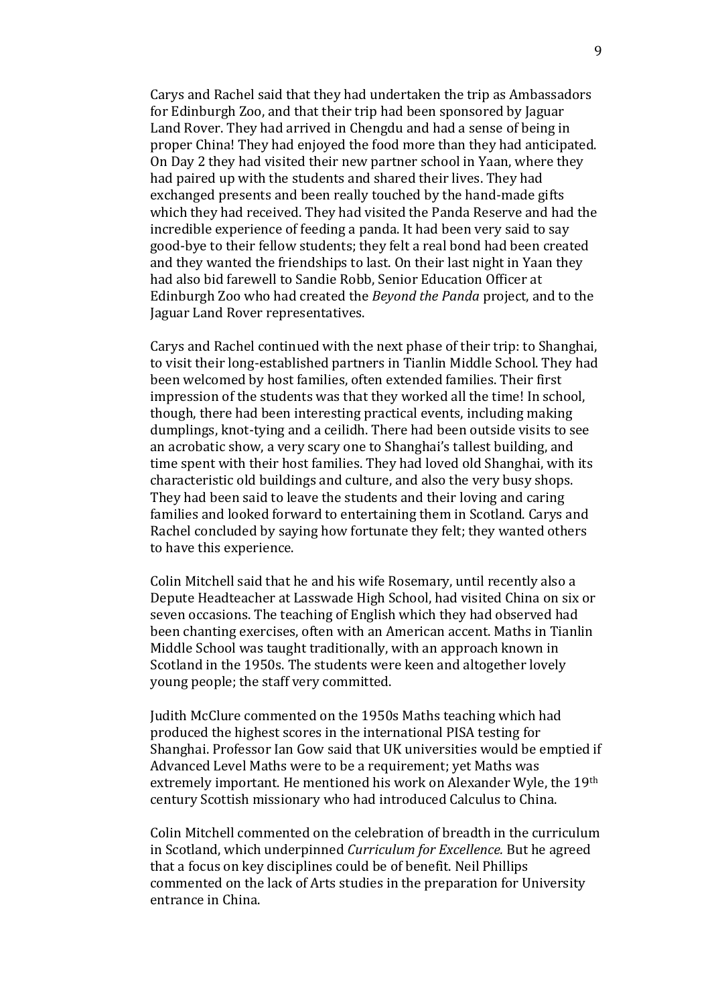Carys and Rachel said that they had undertaken the trip as Ambassadors for Edinburgh Zoo, and that their trip had been sponsored by Jaguar Land Rover. They had arrived in Chengdu and had a sense of being in proper China! They had enjoyed the food more than they had anticipated. On Day 2 they had visited their new partner school in Yaan, where they had paired up with the students and shared their lives. They had exchanged presents and been really touched by the hand-made gifts which they had received. They had visited the Panda Reserve and had the incredible experience of feeding a panda. It had been very said to say good-bye to their fellow students; they felt a real bond had been created and they wanted the friendships to last. On their last night in Yaan they had also bid farewell to Sandie Robb, Senior Education Officer at Edinburgh Zoo who had created the *Beyond the Panda* project, and to the Jaguar Land Rover representatives.

Carys and Rachel continued with the next phase of their trip: to Shanghai, to visit their long-established partners in Tianlin Middle School. They had been welcomed by host families, often extended families. Their first impression of the students was that they worked all the time! In school, though, there had been interesting practical events, including making dumplings, knot-tying and a ceilidh. There had been outside visits to see an acrobatic show, a very scary one to Shanghai's tallest building, and time spent with their host families. They had loved old Shanghai, with its characteristic old buildings and culture, and also the very busy shops. They had been said to leave the students and their loving and caring families and looked forward to entertaining them in Scotland. Carys and Rachel concluded by saying how fortunate they felt; they wanted others to have this experience.

Colin Mitchell said that he and his wife Rosemary, until recently also a Depute Headteacher at Lasswade High School, had visited China on six or seven occasions. The teaching of English which they had observed had been chanting exercises, often with an American accent. Maths in Tianlin Middle School was taught traditionally, with an approach known in Scotland in the 1950s. The students were keen and altogether lovely young people; the staff very committed.

Judith McClure commented on the 1950s Maths teaching which had produced the highest scores in the international PISA testing for Shanghai. Professor Ian Gow said that UK universities would be emptied if Advanced Level Maths were to be a requirement; yet Maths was extremely important. He mentioned his work on Alexander Wyle, the 19th century Scottish missionary who had introduced Calculus to China.

Colin Mitchell commented on the celebration of breadth in the curriculum in Scotland, which underpinned *Curriculum for Excellence.* But he agreed that a focus on key disciplines could be of benefit. Neil Phillips commented on the lack of Arts studies in the preparation for University entrance in China.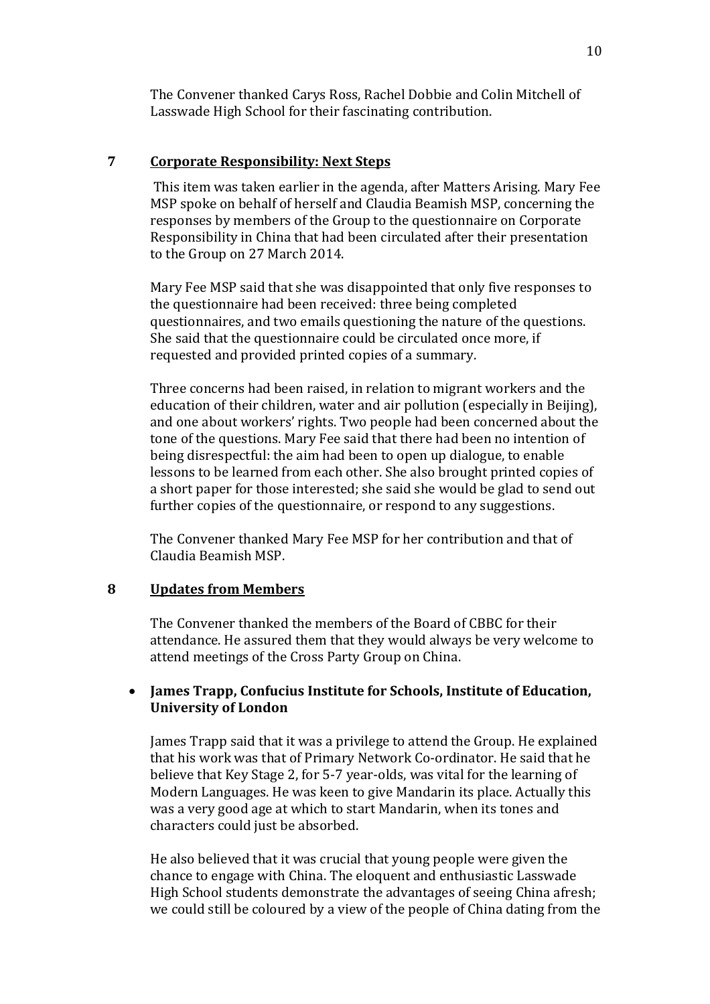The Convener thanked Carys Ross, Rachel Dobbie and Colin Mitchell of Lasswade High School for their fascinating contribution.

## **7 Corporate Responsibility: Next Steps**

This item was taken earlier in the agenda, after Matters Arising. Mary Fee MSP spoke on behalf of herself and Claudia Beamish MSP, concerning the responses by members of the Group to the questionnaire on Corporate Responsibility in China that had been circulated after their presentation to the Group on 27 March 2014.

Mary Fee MSP said that she was disappointed that only five responses to the questionnaire had been received: three being completed questionnaires, and two emails questioning the nature of the questions. She said that the questionnaire could be circulated once more, if requested and provided printed copies of a summary.

Three concerns had been raised, in relation to migrant workers and the education of their children, water and air pollution (especially in Beijing), and one about workers' rights. Two people had been concerned about the tone of the questions. Mary Fee said that there had been no intention of being disrespectful: the aim had been to open up dialogue, to enable lessons to be learned from each other. She also brought printed copies of a short paper for those interested; she said she would be glad to send out further copies of the questionnaire, or respond to any suggestions.

The Convener thanked Mary Fee MSP for her contribution and that of Claudia Beamish MSP.

#### **8 Updates from Members**

The Convener thanked the members of the Board of CBBC for their attendance. He assured them that they would always be very welcome to attend meetings of the Cross Party Group on China.

## **James Trapp, Confucius Institute for Schools, Institute of Education, University of London**

James Trapp said that it was a privilege to attend the Group. He explained that his work was that of Primary Network Co-ordinator. He said that he believe that Key Stage 2, for 5-7 year-olds, was vital for the learning of Modern Languages. He was keen to give Mandarin its place. Actually this was a very good age at which to start Mandarin, when its tones and characters could just be absorbed.

He also believed that it was crucial that young people were given the chance to engage with China. The eloquent and enthusiastic Lasswade High School students demonstrate the advantages of seeing China afresh; we could still be coloured by a view of the people of China dating from the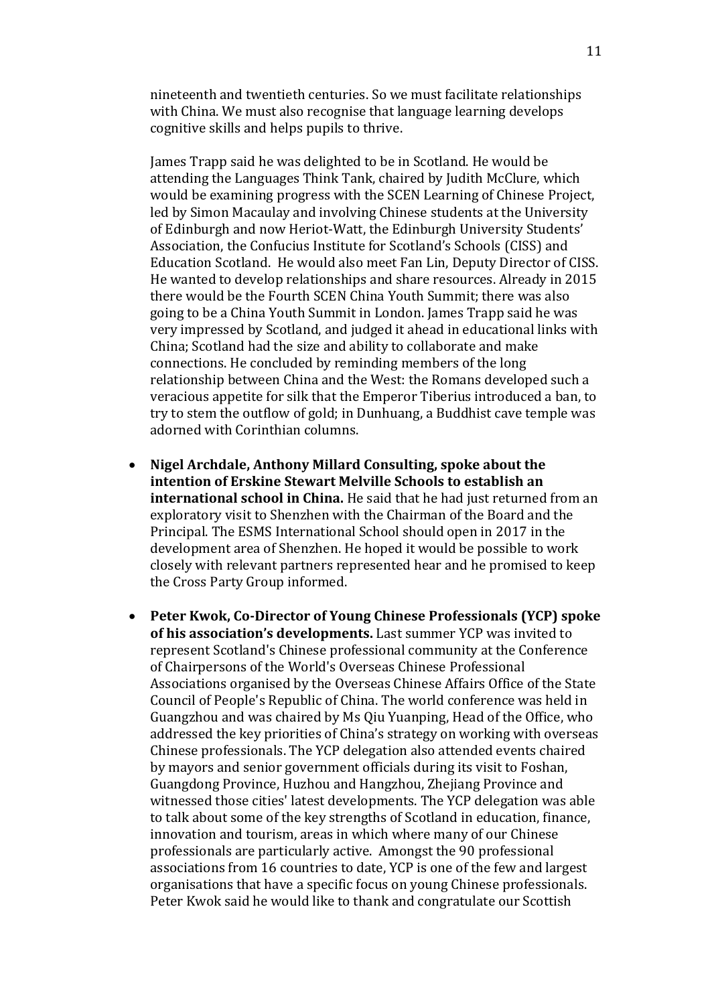nineteenth and twentieth centuries. So we must facilitate relationships with China. We must also recognise that language learning develops cognitive skills and helps pupils to thrive.

James Trapp said he was delighted to be in Scotland. He would be attending the Languages Think Tank, chaired by Judith McClure, which would be examining progress with the SCEN Learning of Chinese Project, led by Simon Macaulay and involving Chinese students at the University of Edinburgh and now Heriot-Watt, the Edinburgh University Students' Association, the Confucius Institute for Scotland's Schools (CISS) and Education Scotland. He would also meet Fan Lin, Deputy Director of CISS. He wanted to develop relationships and share resources. Already in 2015 there would be the Fourth SCEN China Youth Summit; there was also going to be a China Youth Summit in London. James Trapp said he was very impressed by Scotland, and judged it ahead in educational links with China; Scotland had the size and ability to collaborate and make connections. He concluded by reminding members of the long relationship between China and the West: the Romans developed such a veracious appetite for silk that the Emperor Tiberius introduced a ban, to try to stem the outflow of gold; in Dunhuang, a Buddhist cave temple was adorned with Corinthian columns.

- **Nigel Archdale, Anthony Millard Consulting, spoke about the intention of Erskine Stewart Melville Schools to establish an international school in China.** He said that he had just returned from an exploratory visit to Shenzhen with the Chairman of the Board and the Principal. The ESMS International School should open in 2017 in the development area of Shenzhen. He hoped it would be possible to work closely with relevant partners represented hear and he promised to keep the Cross Party Group informed.
- **Peter Kwok, Co-Director of Young Chinese Professionals (YCP) spoke of his association's developments.** Last summer YCP was invited to represent Scotland's Chinese professional community at the Conference of Chairpersons of the World's Overseas Chinese Professional Associations organised by the Overseas Chinese Affairs Office of the State Council of People's Republic of China. The world conference was held in Guangzhou and was chaired by Ms Qiu Yuanping, Head of the Office, who addressed the key priorities of China's strategy on working with overseas Chinese professionals. The YCP delegation also attended events chaired by mayors and senior government officials during its visit to Foshan, Guangdong Province, Huzhou and Hangzhou, Zhejiang Province and witnessed those cities' latest developments. The YCP delegation was able to talk about some of the key strengths of Scotland in education, finance, innovation and tourism, areas in which where many of our Chinese professionals are particularly active. Amongst the 90 professional associations from 16 countries to date, YCP is one of the few and largest organisations that have a specific focus on young Chinese professionals. Peter Kwok said he would like to thank and congratulate our Scottish